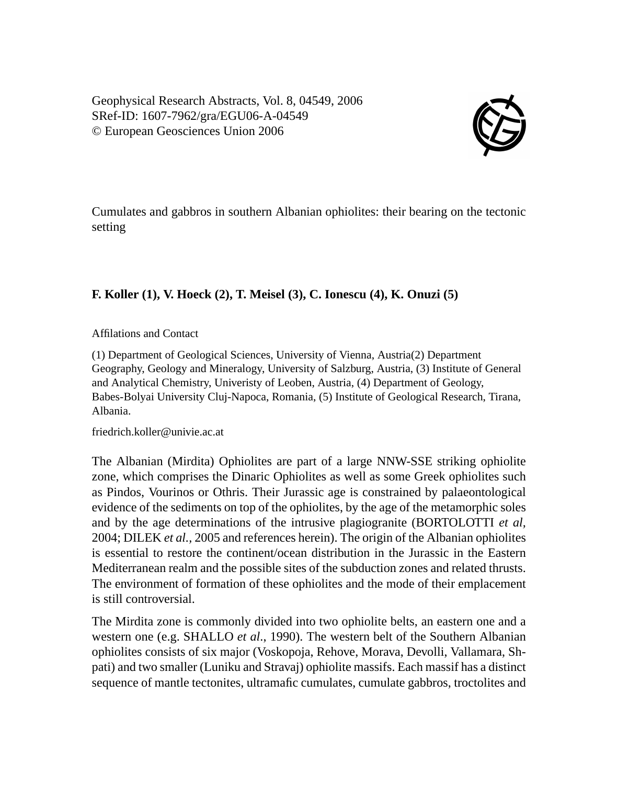Geophysical Research Abstracts, Vol. 8, 04549, 2006 SRef-ID: 1607-7962/gra/EGU06-A-04549 © European Geosciences Union 2006



Cumulates and gabbros in southern Albanian ophiolites: their bearing on the tectonic setting

## **F. Koller (1), V. Hoeck (2), T. Meisel (3), C. Ionescu (4), K. Onuzi (5)**

Affilations and Contact

(1) Department of Geological Sciences, University of Vienna, Austria(2) Department Geography, Geology and Mineralogy, University of Salzburg, Austria, (3) Institute of General and Analytical Chemistry, Univeristy of Leoben, Austria, (4) Department of Geology, Babes-Bolyai University Cluj-Napoca, Romania, (5) Institute of Geological Research, Tirana, Albania.

friedrich.koller@univie.ac.at

The Albanian (Mirdita) Ophiolites are part of a large NNW-SSE striking ophiolite zone, which comprises the Dinaric Ophiolites as well as some Greek ophiolites such as Pindos, Vourinos or Othris. Their Jurassic age is constrained by palaeontological evidence of the sediments on top of the ophiolites, by the age of the metamorphic soles and by the age determinations of the intrusive plagiogranite (BORTOLOTTI *et al,* 2004; DILEK *et al.,* 2005 and references herein). The origin of the Albanian ophiolites is essential to restore the continent/ocean distribution in the Jurassic in the Eastern Mediterranean realm and the possible sites of the subduction zones and related thrusts. The environment of formation of these ophiolites and the mode of their emplacement is still controversial.

The Mirdita zone is commonly divided into two ophiolite belts, an eastern one and a western one (e.g. SHALLO *et al*., 1990). The western belt of the Southern Albanian ophiolites consists of six major (Voskopoja, Rehove, Morava, Devolli, Vallamara, Shpati) and two smaller (Luniku and Stravaj) ophiolite massifs. Each massif has a distinct sequence of mantle tectonites, ultramafic cumulates, cumulate gabbros, troctolites and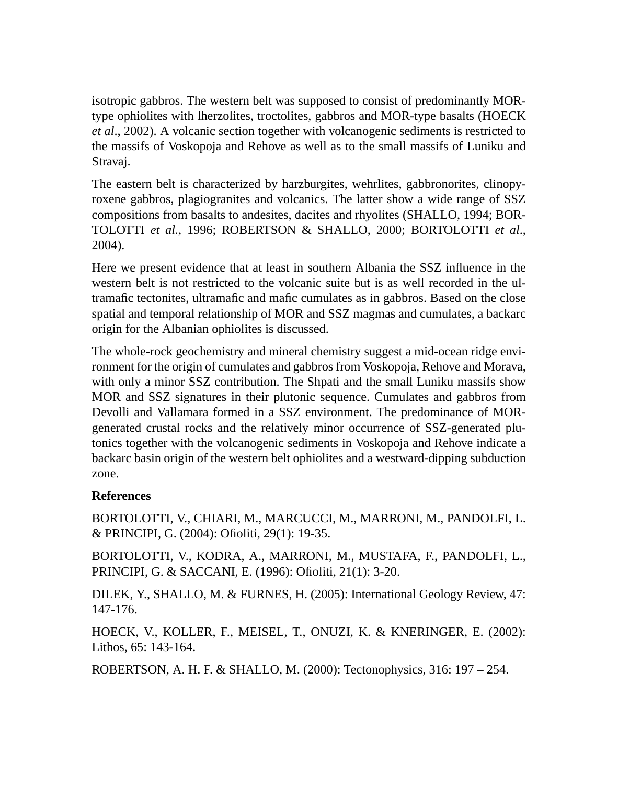isotropic gabbros. The western belt was supposed to consist of predominantly MORtype ophiolites with lherzolites, troctolites, gabbros and MOR-type basalts (HOECK *et al*., 2002). A volcanic section together with volcanogenic sediments is restricted to the massifs of Voskopoja and Rehove as well as to the small massifs of Luniku and Stravaj.

The eastern belt is characterized by harzburgites, wehrlites, gabbronorites, clinopyroxene gabbros, plagiogranites and volcanics. The latter show a wide range of SSZ compositions from basalts to andesites, dacites and rhyolites (SHALLO, 1994; BOR-TOLOTTI *et al.,* 1996; ROBERTSON & SHALLO, 2000; BORTOLOTTI *et al*., 2004).

Here we present evidence that at least in southern Albania the SSZ influence in the western belt is not restricted to the volcanic suite but is as well recorded in the ultramafic tectonites, ultramafic and mafic cumulates as in gabbros. Based on the close spatial and temporal relationship of MOR and SSZ magmas and cumulates, a backarc origin for the Albanian ophiolites is discussed.

The whole-rock geochemistry and mineral chemistry suggest a mid-ocean ridge environment for the origin of cumulates and gabbros from Voskopoja, Rehove and Morava, with only a minor SSZ contribution. The Shpati and the small Luniku massifs show MOR and SSZ signatures in their plutonic sequence. Cumulates and gabbros from Devolli and Vallamara formed in a SSZ environment. The predominance of MORgenerated crustal rocks and the relatively minor occurrence of SSZ-generated plutonics together with the volcanogenic sediments in Voskopoja and Rehove indicate a backarc basin origin of the western belt ophiolites and a westward-dipping subduction zone.

## **References**

BORTOLOTTI, V., CHIARI, M., MARCUCCI, M., MARRONI, M., PANDOLFI, L. & PRINCIPI, G. (2004): Ofioliti, 29(1): 19-35.

BORTOLOTTI, V., KODRA, A., MARRONI, M., MUSTAFA, F., PANDOLFI, L., PRINCIPI, G. & SACCANI, E. (1996): Ofioliti, 21(1): 3-20.

DILEK, Y., SHALLO, M. & FURNES, H. (2005): International Geology Review, 47: 147-176.

HOECK, V., KOLLER, F., MEISEL, T., ONUZI, K. & KNERINGER, E. (2002): Lithos, 65: 143-164.

ROBERTSON, A. H. F. & SHALLO, M. (2000): Tectonophysics, 316: 197 – 254.